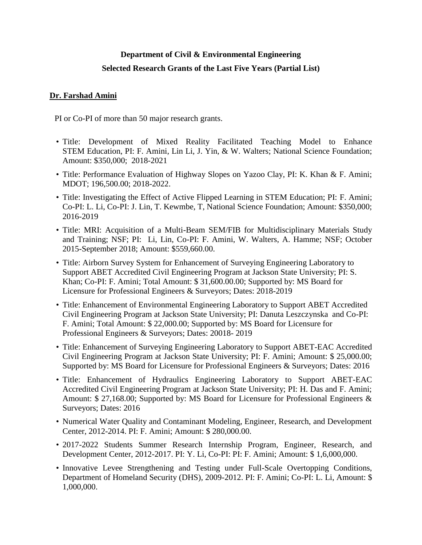# **Department of Civil & Environmental Engineering Selected Research Grants of the Last Five Years (Partial List)**

#### **Dr. Farshad Amini**

PI or Co-PI of more than 50 major research grants.

- Title: Development of Mixed Reality Facilitated Teaching Model to Enhance STEM Education, PI: F. Amini, Lin Li, J. Yin, & W. Walters; National Science Foundation; Amount: \$350,000; 2018-2021
- Title: Performance Evaluation of Highway Slopes on Yazoo Clay, PI: K. Khan & F. Amini; MDOT; 196,500.00; 2018-2022.
- Title: Investigating the Effect of Active Flipped Learning in STEM Education; PI: F. Amini; Co-PI: L. Li, Co-PI: J. Lin, T. Kewmbe, T, National Science Foundation; Amount: \$350,000; 2016-2019
- Title: MRI: Acquisition of a Multi-Beam SEM/FIB for Multidisciplinary Materials Study and Training; NSF; PI: Li, Lin, Co-PI: F. Amini, W. Walters, A. Hamme; NSF; October 2015-September 2018; Amount: \$559,660.00.
- Title: Airborn Survey System for Enhancement of Surveying Engineering Laboratory to Support ABET Accredited Civil Engineering Program at Jackson State University; PI: S. Khan; Co-PI: F. Amini; Total Amount: \$ 31,600.00.00; Supported by: MS Board for Licensure for Professional Engineers & Surveyors; Dates: 2018-2019
- Title: Enhancement of Environmental Engineering Laboratory to Support ABET Accredited Civil Engineering Program at Jackson State University; PI: Danuta Leszczynska and Co-PI: F. Amini; Total Amount: \$ 22,000.00; Supported by: MS Board for Licensure for Professional Engineers & Surveyors; Dates: 20018- 2019
- Title: Enhancement of Surveying Engineering Laboratory to Support ABET-EAC Accredited Civil Engineering Program at Jackson State University; PI: F. Amini; Amount: \$ 25,000.00; Supported by: MS Board for Licensure for Professional Engineers & Surveyors; Dates: 2016
- Title: Enhancement of Hydraulics Engineering Laboratory to Support ABET-EAC Accredited Civil Engineering Program at Jackson State University; PI: H. Das and F. Amini; Amount: \$ 27,168.00; Supported by: MS Board for Licensure for Professional Engineers & Surveyors; Dates: 2016
- Numerical Water Quality and Contaminant Modeling, Engineer, Research, and Development Center, 2012-2014. PI: F. Amini; Amount: \$ 280,000.00.
- 2017-2022 Students Summer Research Internship Program, Engineer, Research, and Development Center, 2012-2017. PI: Y. Li, Co-PI: PI: F. Amini; Amount: \$ 1,6,000,000.
- Innovative Levee Strengthening and Testing under Full-Scale Overtopping Conditions, Department of Homeland Security (DHS), 2009-2012. PI: F. Amini; Co-PI: L. Li, Amount: \$ 1,000,000.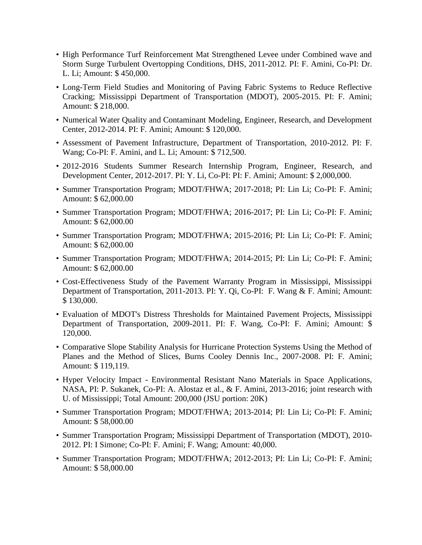- High Performance Turf Reinforcement Mat Strengthened Levee under Combined wave and Storm Surge Turbulent Overtopping Conditions, DHS, 2011-2012. PI: F. Amini, Co-PI: Dr. L. Li; Amount: \$ 450,000.
- Long-Term Field Studies and Monitoring of Paving Fabric Systems to Reduce Reflective Cracking; Mississippi Department of Transportation (MDOT), 2005-2015. PI: F. Amini; Amount: \$ 218,000.
- Numerical Water Quality and Contaminant Modeling, Engineer, Research, and Development Center, 2012-2014. PI: F. Amini; Amount: \$ 120,000.
- Assessment of Pavement Infrastructure, Department of Transportation, 2010-2012. PI: F. Wang; Co-PI: F. Amini, and L. Li; Amount: \$ 712,500.
- 2012-2016 Students Summer Research Internship Program, Engineer, Research, and Development Center, 2012-2017. PI: Y. Li, Co-PI: PI: F. Amini; Amount: \$ 2,000,000.
- Summer Transportation Program; MDOT/FHWA; 2017-2018; PI: Lin Li; Co-PI: F. Amini; Amount: \$ 62,000.00
- Summer Transportation Program; MDOT/FHWA; 2016-2017; PI: Lin Li; Co-PI: F. Amini; Amount: \$ 62,000.00
- Summer Transportation Program; MDOT/FHWA; 2015-2016; PI: Lin Li; Co-PI: F. Amini; Amount: \$ 62,000.00
- Summer Transportation Program; MDOT/FHWA; 2014-2015; PI: Lin Li; Co-PI: F. Amini; Amount: \$ 62,000.00
- Cost-Effectiveness Study of the Pavement Warranty Program in Mississippi, Mississippi Department of Transportation, 2011-2013. PI: Y. Qi, Co-PI: F. Wang & F. Amini; Amount: \$ 130,000.
- Evaluation of MDOT's Distress Thresholds for Maintained Pavement Projects, Mississippi Department of Transportation, 2009-2011. PI: F. Wang, Co-PI: F. Amini; Amount: \$ 120,000.
- Comparative Slope Stability Analysis for Hurricane Protection Systems Using the Method of Planes and the Method of Slices, Burns Cooley Dennis Inc., 2007-2008. PI: F. Amini; Amount: \$ 119,119.
- Hyper Velocity Impact Environmental Resistant Nano Materials in Space Applications, NASA, PI: P. Sukanek, Co-PI: A. Alostaz et al., & F. Amini, 2013-2016; joint research with U. of Mississippi; Total Amount: 200,000 (JSU portion: 20K)
- Summer Transportation Program; MDOT/FHWA; 2013-2014; PI: Lin Li; Co-PI: F. Amini; Amount: \$ 58,000.00
- Summer Transportation Program; Mississippi Department of Transportation (MDOT), 2010- 2012. PI: I Simone; Co-PI: F. Amini; F. Wang; Amount: 40,000.
- Summer Transportation Program; MDOT/FHWA; 2012-2013; PI: Lin Li; Co-PI: F. Amini; Amount: \$ 58,000.00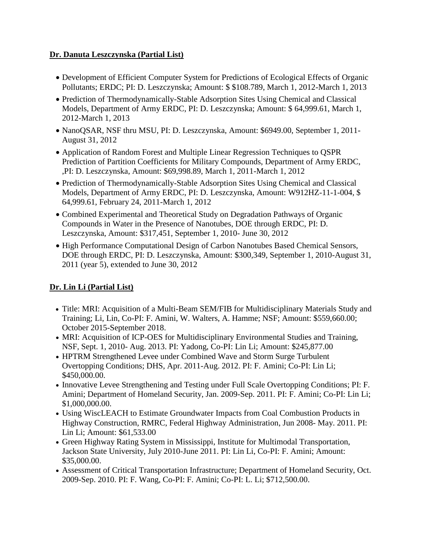#### **Dr. Danuta Leszczynska (Partial List)**

- Development of Efficient Computer System for Predictions of Ecological Effects of Organic Pollutants; ERDC; PI: D. Leszczynska; Amount: \$ \$108.789, March 1, 2012-March 1, 2013
- Prediction of Thermodynamically-Stable Adsorption Sites Using Chemical and Classical Models, Department of Army ERDC, PI: D. Leszczynska; Amount: \$ 64,999.61, March 1, 2012-March 1, 2013
- NanoQSAR, NSF thru MSU, PI: D. Leszczynska, Amount: \$6949.00, September 1, 2011- August 31, 2012
- Application of Random Forest and Multiple Linear Regression Techniques to QSPR Prediction of Partition Coefficients for Military Compounds, Department of Army ERDC, ,PI: D. Leszczynska, Amount: \$69,998.89, March 1, 2011-March 1, 2012
- Prediction of Thermodynamically-Stable Adsorption Sites Using Chemical and Classical Models, Department of Army ERDC, PI: D. Leszczynska, Amount: W912HZ-11-1-004, \$ 64,999.61, February 24, 2011-March 1, 2012
- Combined Experimental and Theoretical Study on Degradation Pathways of Organic Compounds in Water in the Presence of Nanotubes, DOE through ERDC, PI: D. Leszczynska, Amount: \$317,451, September 1, 2010- June 30, 2012
- High Performance Computational Design of Carbon Nanotubes Based Chemical Sensors, DOE through ERDC, PI: D. Leszczynska, Amount: \$300,349, September 1, 2010-August 31, 2011 (year 5), extended to June 30, 2012

## **Dr. Lin Li (Partial List)**

- Title: MRI: Acquisition of a Multi-Beam SEM/FIB for Multidisciplinary Materials Study and Training; Li, Lin, Co-PI: F. Amini, W. Walters, A. Hamme; NSF; Amount: \$559,660.00; October 2015-September 2018.
- MRI: Acquisition of ICP-OES for Multidisciplinary Environmental Studies and Training, NSF, Sept. 1, 2010- Aug. 2013. PI: Yadong, Co-PI: Lin Li; Amount: \$245,877.00
- HPTRM Strengthened Levee under Combined Wave and Storm Surge Turbulent Overtopping Conditions; DHS, Apr. 2011-Aug. 2012. PI: F. Amini; Co-PI: Lin Li; \$450,000.00.
- Innovative Levee Strengthening and Testing under Full Scale Overtopping Conditions; PI: F. Amini; Department of Homeland Security, Jan. 2009-Sep. 2011. PI: F. Amini; Co-PI: Lin Li; \$1,000,000.00.
- Using WiscLEACH to Estimate Groundwater Impacts from Coal Combustion Products in Highway Construction, RMRC, Federal Highway Administration, Jun 2008- May. 2011. PI: Lin Li; Amount: \$61,533.00
- Green Highway Rating System in Mississippi, Institute for Multimodal Transportation, Jackson State University, July 2010-June 2011. PI: Lin Li, Co-PI: F. Amini; Amount: \$35,000.00.
- Assessment of Critical Transportation Infrastructure; Department of Homeland Security, Oct. 2009-Sep. 2010. PI: F. Wang, Co-PI: F. Amini; Co-PI: L. Li; \$712,500.00.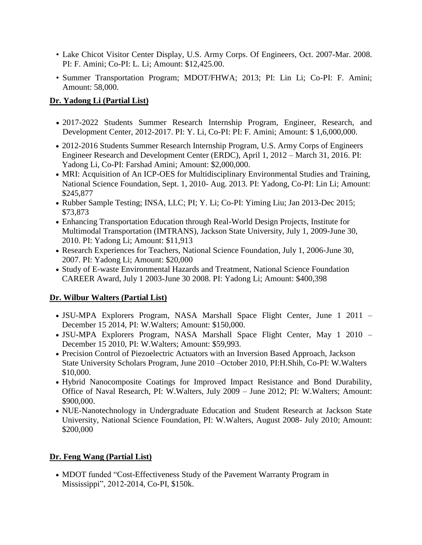- Lake Chicot Visitor Center Display, U.S. Army Corps. Of Engineers, Oct. 2007-Mar. 2008. PI: F. Amini; Co-PI: L. Li; Amount: \$12,425.00.
- Summer Transportation Program; MDOT/FHWA; 2013; PI: Lin Li; Co-PI: F. Amini; Amount: 58,000.

#### **Dr. Yadong Li (Partial List)**

- 2017-2022 Students Summer Research Internship Program, Engineer, Research, and Development Center, 2012-2017. PI: Y. Li, Co-PI: PI: F. Amini; Amount: \$ 1,6,000,000.
- 2012-2016 Students Summer Research Internship Program, U.S. Army Corps of Engineers Engineer Research and Development Center (ERDC), April 1, 2012 – March 31, 2016. PI: Yadong Li, Co-PI: Farshad Amini; Amount: \$2,000,000.
- MRI: Acquisition of An ICP-OES for Multidisciplinary Environmental Studies and Training, National Science Foundation, Sept. 1, 2010- Aug. 2013. PI: Yadong, Co-PI: Lin Li; Amount: \$245,877
- Rubber Sample Testing; INSA, LLC; PI; Y. Li; Co-PI: Yiming Liu; Jan 2013-Dec 2015; \$73,873
- Enhancing Transportation Education through Real-World Design Projects, Institute for Multimodal Transportation (IMTRANS), Jackson State University, July 1, 2009-June 30, 2010. PI: Yadong Li; Amount: \$11,913
- Research Experiences for Teachers, National Science Foundation, July 1, 2006-June 30, 2007. PI: Yadong Li; Amount: \$20,000
- Study of E-waste Environmental Hazards and Treatment, National Science Foundation CAREER Award, July 1 2003-June 30 2008. PI: Yadong Li; Amount: \$400,398

#### **Dr. Wilbur Walters (Partial List)**

- JSU-MPA Explorers Program, NASA Marshall Space Flight Center, June 1 2011 December 15 2014, PI: W.Walters; Amount: \$150,000.
- JSU-MPA Explorers Program, NASA Marshall Space Flight Center, May 1 2010 December 15 2010, PI: W.Walters; Amount: \$59,993.
- Precision Control of Piezoelectric Actuators with an Inversion Based Approach, Jackson State University Scholars Program, June 2010 –October 2010, PI:H.Shih, Co-PI: W.Walters \$10,000.
- Hybrid Nanocomposite Coatings for Improved Impact Resistance and Bond Durability, Office of Naval Research, PI: W.Walters, July 2009 – June 2012; PI: W.Walters; Amount: \$900,000.
- NUE-Nanotechnology in Undergraduate Education and Student Research at Jackson State University, National Science Foundation, PI: W.Walters, August 2008- July 2010; Amount: \$200,000

### **Dr. Feng Wang (Partial List)**

• MDOT funded "Cost-Effectiveness Study of the Pavement Warranty Program in Mississippi", 2012-2014, Co-PI, \$150k.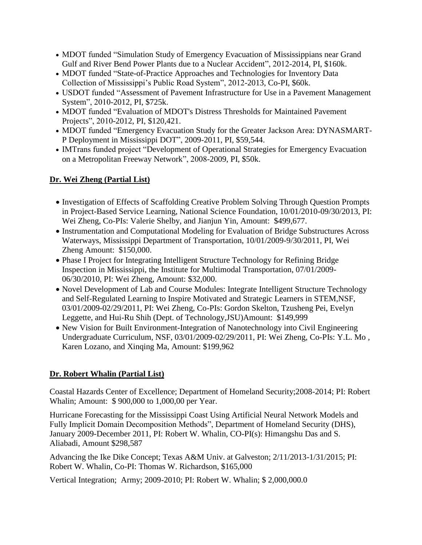- MDOT funded "Simulation Study of Emergency Evacuation of Mississippians near Grand Gulf and River Bend Power Plants due to a Nuclear Accident", 2012-2014, PI, \$160k.
- MDOT funded "State-of-Practice Approaches and Technologies for Inventory Data Collection of Mississippi's Public Road System", 2012-2013, Co-PI, \$60k.
- USDOT funded "Assessment of Pavement Infrastructure for Use in a Pavement Management System", 2010-2012, PI, \$725k.
- MDOT funded "Evaluation of MDOT's Distress Thresholds for Maintained Pavement Projects", 2010-2012, PI, \$120,421.
- MDOT funded "Emergency Evacuation Study for the Greater Jackson Area: DYNASMART-P Deployment in Mississippi DOT", 2009-2011, PI, \$59,544.
- IMTrans funded project "Development of Operational Strategies for Emergency Evacuation on a Metropolitan Freeway Network", 2008-2009, PI, \$50k.

## **Dr. Wei Zheng (Partial List)**

- Investigation of Effects of Scaffolding Creative Problem Solving Through Question Prompts in Project-Based Service Learning, National Science Foundation, 10/01/2010-09/30/2013, PI: Wei Zheng, Co-PIs: Valerie Shelby, and Jianjun Yin, Amount: \$499,677.
- Instrumentation and Computational Modeling for Evaluation of Bridge Substructures Across Waterways, Mississippi Department of Transportation, 10/01/2009-9/30/2011, PI, Wei Zheng Amount: \$150,000.
- Phase I Project for Integrating Intelligent Structure Technology for Refining Bridge Inspection in Mississippi, the Institute for Multimodal Transportation, 07/01/2009- 06/30/2010, PI: Wei Zheng, Amount: \$32,000.
- Novel Development of Lab and Course Modules: Integrate Intelligent Structure Technology and Self-Regulated Learning to Inspire Motivated and Strategic Learners in STEM,NSF, 03/01/2009-02/29/2011, PI: Wei Zheng, Co-PIs: Gordon Skelton, Tzusheng Pei, Evelyn Leggette, and Hui-Ru Shih (Dept. of Technology,JSU)Amount: \$149,999
- New Vision for Built Environment-Integration of Nanotechnology into Civil Engineering Undergraduate Curriculum, NSF, 03/01/2009-02/29/2011, PI: Wei Zheng, Co-PIs: Y.L. Mo , Karen Lozano, and Xinqing Ma, Amount: \$199,962

### **Dr. Robert Whalin (Partial List)**

Coastal Hazards Center of Excellence; Department of Homeland Security;2008-2014; PI: Robert Whalin; Amount: \$ 900,000 to 1,000,00 per Year.

Hurricane Forecasting for the Mississippi Coast Using Artificial Neural Network Models and Fully Implicit Domain Decomposition Methods", Department of Homeland Security (DHS), January 2009-December 2011, PI: Robert W. Whalin, CO-PI(s): Himangshu Das and S. Aliabadi, Amount \$298,587

Advancing the Ike Dike Concept; Texas A&M Univ. at Galveston; 2/11/2013-1/31/2015; PI: Robert W. Whalin, Co-PI: Thomas W. Richardson, \$165,000

Vertical Integration; Army; 2009-2010; PI: Robert W. Whalin; \$ 2,000,000.0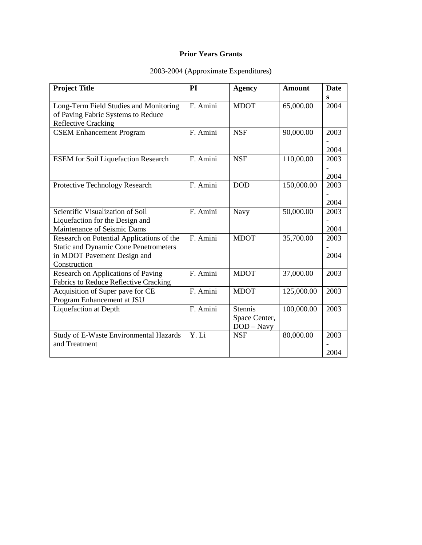#### **Prior Years Grants**

| <b>Project Title</b>                          | PI       | <b>Agency</b>  | <b>Amount</b> | <b>Date</b> |
|-----------------------------------------------|----------|----------------|---------------|-------------|
|                                               |          |                |               | s           |
| Long-Term Field Studies and Monitoring        | F. Amini | <b>MDOT</b>    | 65,000.00     | 2004        |
| of Paving Fabric Systems to Reduce            |          |                |               |             |
| <b>Reflective Cracking</b>                    |          |                |               |             |
| <b>CSEM Enhancement Program</b>               | F. Amini | <b>NSF</b>     | 90,000.00     | 2003        |
|                                               |          |                |               |             |
|                                               |          |                |               | 2004        |
| <b>ESEM</b> for Soil Liquefaction Research    | F. Amini | <b>NSF</b>     | 110,00.00     | 2003        |
|                                               |          |                |               |             |
|                                               |          |                |               | 2004        |
| Protective Technology Research                | F. Amini | <b>DOD</b>     | 150,000.00    | 2003        |
|                                               |          |                |               |             |
|                                               |          |                |               | 2004        |
| Scientific Visualization of Soil              | F. Amini | Navy           | 50,000.00     | 2003        |
| Liquefaction for the Design and               |          |                |               |             |
| Maintenance of Seismic Dams                   |          |                |               | 2004        |
| Research on Potential Applications of the     | F. Amini | <b>MDOT</b>    | 35,700.00     | 2003        |
| <b>Static and Dynamic Cone Penetrometers</b>  |          |                |               |             |
| in MDOT Pavement Design and<br>Construction   |          |                |               | 2004        |
| Research on Applications of Paving            | F. Amini | <b>MDOT</b>    | 37,000.00     | 2003        |
| Fabrics to Reduce Reflective Cracking         |          |                |               |             |
| Acquisition of Super pave for CE              | F. Amini | <b>MDOT</b>    | 125,000.00    | 2003        |
| Program Enhancement at JSU                    |          |                |               |             |
| Liquefaction at Depth                         | F. Amini | <b>Stennis</b> | 100,000.00    | 2003        |
|                                               |          | Space Center,  |               |             |
|                                               |          | $DOD - Navy$   |               |             |
| <b>Study of E-Waste Environmental Hazards</b> | Y. Li    | <b>NSF</b>     | 80,000.00     | 2003        |
| and Treatment                                 |          |                |               |             |
|                                               |          |                |               | 2004        |

#### 2003-2004 (Approximate Expenditures)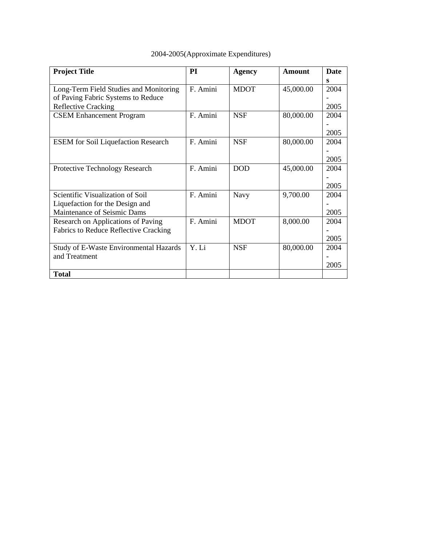| 2004-2005(Approximate Expenditures) |  |  |
|-------------------------------------|--|--|
|-------------------------------------|--|--|

| <b>Project Title</b>                         | <b>PI</b> | <b>Agency</b> | <b>Amount</b> | Date |
|----------------------------------------------|-----------|---------------|---------------|------|
|                                              |           |               |               | S    |
| Long-Term Field Studies and Monitoring       | F. Amini  | <b>MDOT</b>   | 45,000.00     | 2004 |
| of Paving Fabric Systems to Reduce           |           |               |               |      |
| <b>Reflective Cracking</b>                   |           |               |               | 2005 |
| <b>CSEM Enhancement Program</b>              | F. Amini  | <b>NSF</b>    | 80,000.00     | 2004 |
|                                              |           |               |               |      |
|                                              |           |               |               | 2005 |
| <b>ESEM</b> for Soil Liquefaction Research   | F. Amini  | <b>NSF</b>    | 80,000.00     | 2004 |
|                                              |           |               |               |      |
|                                              |           |               |               | 2005 |
| Protective Technology Research               | F. Amini  | <b>DOD</b>    | 45,000.00     | 2004 |
|                                              |           |               |               |      |
|                                              |           |               |               | 2005 |
| Scientific Visualization of Soil             | F. Amini  | Navy          | 9,700.00      | 2004 |
| Liquefaction for the Design and              |           |               |               |      |
| Maintenance of Seismic Dams                  |           |               |               | 2005 |
| Research on Applications of Paving           | F. Amini  | <b>MDOT</b>   | 8,000.00      | 2004 |
| <b>Fabrics to Reduce Reflective Cracking</b> |           |               |               |      |
|                                              |           |               |               | 2005 |
| Study of E-Waste Environmental Hazards       | Y. Li     | <b>NSF</b>    | 80,000.00     | 2004 |
| and Treatment                                |           |               |               |      |
|                                              |           |               |               | 2005 |
| <b>Total</b>                                 |           |               |               |      |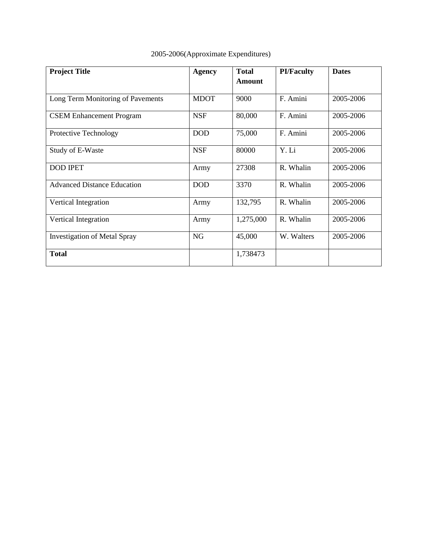| <b>Project Title</b>                | <b>Agency</b> | <b>Total</b><br><b>Amount</b> | <b>PI/Faculty</b> | <b>Dates</b> |
|-------------------------------------|---------------|-------------------------------|-------------------|--------------|
|                                     |               |                               |                   |              |
| Long Term Monitoring of Pavements   | <b>MDOT</b>   | 9000                          | F. Amini          | 2005-2006    |
| <b>CSEM Enhancement Program</b>     | <b>NSF</b>    | 80,000                        | F. Amini          | 2005-2006    |
| Protective Technology               | <b>DOD</b>    | 75,000                        | F. Amini          | 2005-2006    |
| Study of E-Waste                    | <b>NSF</b>    | 80000                         | Y. Li             | 2005-2006    |
| <b>DOD IPET</b>                     | Army          | 27308                         | R. Whalin         | 2005-2006    |
| <b>Advanced Distance Education</b>  | <b>DOD</b>    | 3370                          | R. Whalin         | 2005-2006    |
| Vertical Integration                | Army          | 132,795                       | R. Whalin         | 2005-2006    |
| Vertical Integration                | Army          | 1,275,000                     | R. Whalin         | 2005-2006    |
| <b>Investigation of Metal Spray</b> | <b>NG</b>     | 45,000                        | W. Walters        | 2005-2006    |
| <b>Total</b>                        |               | 1,738473                      |                   |              |

## 2005-2006(Approximate Expenditures)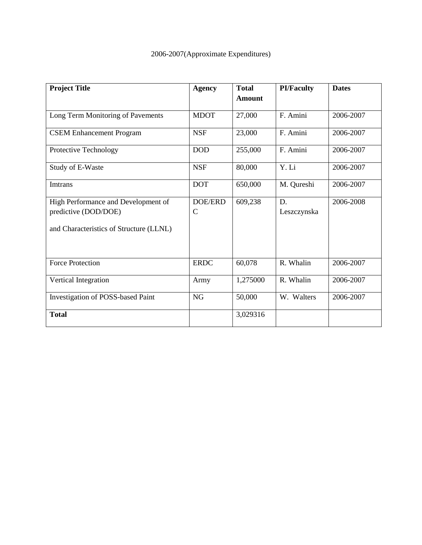| <b>Project Title</b>                    | <b>Agency</b> | <b>Total</b>  |             | <b>Dates</b> |  |
|-----------------------------------------|---------------|---------------|-------------|--------------|--|
|                                         |               | <b>Amount</b> |             |              |  |
| Long Term Monitoring of Pavements       | <b>MDOT</b>   | 27,000        | F. Amini    | 2006-2007    |  |
| <b>CSEM Enhancement Program</b>         | <b>NSF</b>    | 23,000        | F. Amini    | 2006-2007    |  |
| Protective Technology                   | <b>DOD</b>    | 255,000       | F. Amini    | 2006-2007    |  |
| Study of E-Waste                        | <b>NSF</b>    | 80,000        | Y. Li       | 2006-2007    |  |
| Imtrans                                 | <b>DOT</b>    | 650,000       | M. Qureshi  | 2006-2007    |  |
| High Performance and Development of     | DOE/ERD       | 609,238       | D.          | 2006-2008    |  |
| predictive (DOD/DOE)                    | $\mathcal{C}$ |               | Leszczynska |              |  |
| and Characteristics of Structure (LLNL) |               |               |             |              |  |
| <b>Force Protection</b>                 | <b>ERDC</b>   | 60,078        | R. Whalin   | 2006-2007    |  |
| Vertical Integration                    | Army          | 1,275000      | R. Whalin   | 2006-2007    |  |
| Investigation of POSS-based Paint       | NG            | 50,000        | W. Walters  | 2006-2007    |  |
| <b>Total</b>                            |               | 3,029316      |             |              |  |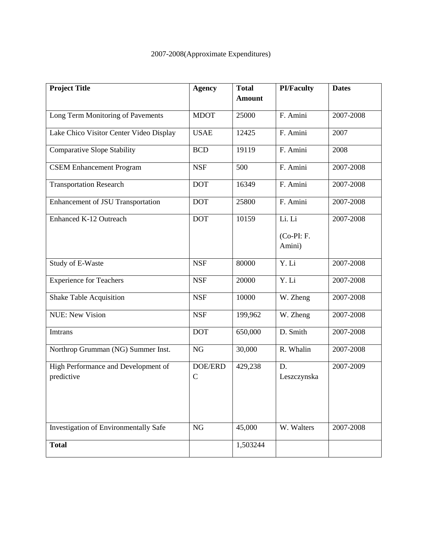| <b>Project Title</b>                         | <b>Agency</b>            | <b>Total</b>  | <b>PI/Faculty</b> | <b>Dates</b> |
|----------------------------------------------|--------------------------|---------------|-------------------|--------------|
|                                              |                          | <b>Amount</b> |                   |              |
| Long Term Monitoring of Pavements            | <b>MDOT</b>              | 25000         | F. Amini          | 2007-2008    |
| Lake Chico Visitor Center Video Display      | <b>USAE</b>              | 12425         | F. Amini          | 2007         |
| <b>Comparative Slope Stability</b>           | <b>BCD</b>               | 19119         | F. Amini          | 2008         |
| <b>CSEM Enhancement Program</b>              | <b>NSF</b>               | 500           | F. Amini          | 2007-2008    |
| <b>Transportation Research</b>               | <b>DOT</b>               | 16349         | F. Amini          | 2007-2008    |
| Enhancement of JSU Transportation            | <b>DOT</b>               | 25800         | F. Amini          | 2007-2008    |
| Enhanced K-12 Outreach                       | <b>DOT</b>               | 10159         | Li. Li            | 2007-2008    |
|                                              |                          |               | $(Co-PI: F.$      |              |
|                                              |                          |               | Amini)            |              |
| Study of E-Waste                             | <b>NSF</b>               | 80000         | Y. Li             | 2007-2008    |
| <b>Experience for Teachers</b>               | <b>NSF</b>               | 20000         | Y. Li             | 2007-2008    |
| <b>Shake Table Acquisition</b>               | <b>NSF</b>               | 10000         | W. Zheng          | 2007-2008    |
| <b>NUE: New Vision</b>                       | <b>NSF</b>               | 199,962       | W. Zheng          | 2007-2008    |
| Imtrans                                      | <b>DOT</b>               | 650,000       | D. Smith          | 2007-2008    |
| Northrop Grumman (NG) Summer Inst.           | NG                       | 30,000        | R. Whalin         | 2007-2008    |
| High Performance and Development of          | DOE/ERD<br>$\mathcal{C}$ | 429,238       | D.                | 2007-2009    |
| predictive                                   |                          |               | Leszczynska       |              |
|                                              |                          |               |                   |              |
|                                              |                          |               |                   |              |
| <b>Investigation of Environmentally Safe</b> | <b>NG</b>                | 45,000        | W. Walters        | 2007-2008    |
| <b>Total</b>                                 |                          | 1,503244      |                   |              |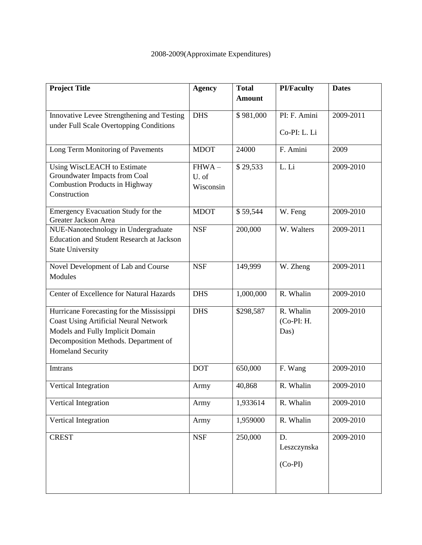| <b>Project Title</b>                                            | <b>Agency</b> | <b>Total</b>  | <b>PI/Faculty</b> | <b>Dates</b> |
|-----------------------------------------------------------------|---------------|---------------|-------------------|--------------|
|                                                                 |               | <b>Amount</b> |                   |              |
| Innovative Levee Strengthening and Testing                      | <b>DHS</b>    | \$981,000     | PI: F. Amini      | 2009-2011    |
| under Full Scale Overtopping Conditions                         |               |               | Co-PI: L. Li      |              |
|                                                                 |               |               |                   |              |
| Long Term Monitoring of Pavements                               | <b>MDOT</b>   | 24000         | F. Amini          | 2009         |
| Using WiscLEACH to Estimate                                     | $FHWA -$      | \$29,533      | L. Li             | 2009-2010    |
| Groundwater Impacts from Coal<br>Combustion Products in Highway | U. of         |               |                   |              |
| Construction                                                    | Wisconsin     |               |                   |              |
|                                                                 |               |               |                   |              |
| Emergency Evacuation Study for the<br>Greater Jackson Area      | <b>MDOT</b>   | \$59,544      | W. Feng           | 2009-2010    |
| NUE-Nanotechnology in Undergraduate                             | <b>NSF</b>    | 200,000       | W. Walters        | 2009-2011    |
| <b>Education and Student Research at Jackson</b>                |               |               |                   |              |
| <b>State University</b>                                         |               |               |                   |              |
| Novel Development of Lab and Course                             | <b>NSF</b>    | 149,999       | W. Zheng          | 2009-2011    |
| Modules                                                         |               |               |                   |              |
| Center of Excellence for Natural Hazards                        | <b>DHS</b>    | 1,000,000     | R. Whalin         | 2009-2010    |
| Hurricane Forecasting for the Mississippi                       | <b>DHS</b>    | \$298,587     | R. Whalin         | 2009-2010    |
| <b>Coast Using Artificial Neural Network</b>                    |               |               | $(Co-PI: H.$      |              |
| Models and Fully Implicit Domain                                |               |               | Das)              |              |
| Decomposition Methods. Department of                            |               |               |                   |              |
| <b>Homeland Security</b>                                        |               |               |                   |              |
| Imtrans                                                         | <b>DOT</b>    | 650,000       | F. Wang           | 2009-2010    |
| Vertical Integration                                            | Army          | 40,868        | R. Whalin         | 2009-2010    |
| Vertical Integration                                            | Army          | 1,933614      | R. Whalin         | 2009-2010    |
|                                                                 |               |               |                   |              |
| Vertical Integration                                            | Army          | 1,959000      | R. Whalin         | 2009-2010    |
| <b>CREST</b>                                                    | <b>NSF</b>    | 250,000       | D.                | 2009-2010    |
|                                                                 |               |               | Leszczynska       |              |
|                                                                 |               |               | $(Co-PI)$         |              |
|                                                                 |               |               |                   |              |
|                                                                 |               |               |                   |              |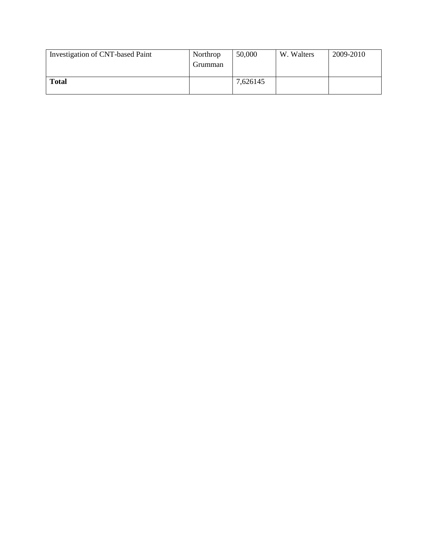| Investigation of CNT-based Paint | Northrop<br>Grumman | 50,000   | W. Walters | 2009-2010 |
|----------------------------------|---------------------|----------|------------|-----------|
| <b>Total</b>                     |                     | 7,626145 |            |           |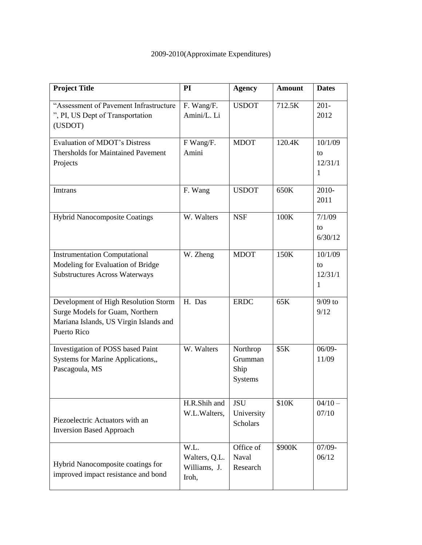| <b>Project Title</b>                                                                                                                    | PI                                             | <b>Agency</b>                               | <b>Amount</b> | <b>Dates</b>                  |
|-----------------------------------------------------------------------------------------------------------------------------------------|------------------------------------------------|---------------------------------------------|---------------|-------------------------------|
| "Assessment of Pavement Infrastructure<br>", PI, US Dept of Transportation<br>(USDOT)                                                   | F. Wang/F.<br>Amini/L. Li                      | <b>USDOT</b>                                | 712.5K        | $201 -$<br>2012               |
| <b>Evaluation of MDOT's Distress</b><br><b>Thersholds for Maintained Pavement</b><br>Projects                                           | F Wang/F.<br>Amini                             | <b>MDOT</b>                                 | 120.4K        | 10/1/09<br>to<br>12/31/1<br>1 |
| Imtrans                                                                                                                                 | F. Wang                                        | <b>USDOT</b>                                | 650K          | 2010-<br>2011                 |
| <b>Hybrid Nanocomposite Coatings</b>                                                                                                    | W. Walters                                     | <b>NSF</b>                                  | 100K          | 7/1/09<br>to<br>6/30/12       |
| <b>Instrumentation Computational</b><br>Modeling for Evaluation of Bridge<br><b>Substructures Across Waterways</b>                      | W. Zheng                                       | <b>MDOT</b>                                 | 150K          | 10/1/09<br>to<br>12/31/1<br>1 |
| Development of High Resolution Storm<br>Surge Models for Guam, Northern<br>Mariana Islands, US Virgin Islands and<br><b>Puerto Rico</b> | H. Das                                         | <b>ERDC</b>                                 | 65K           | $9/09$ to<br>9/12             |
| Investigation of POSS based Paint<br>Systems for Marine Applications,,<br>Pascagoula, MS                                                | W. Walters                                     | Northrop<br>Grumman<br>Ship<br>Systems      | \$5K          | $06/09 -$<br>11/09            |
| Piezoelectric Actuators with an<br><b>Inversion Based Approach</b>                                                                      | H.R.Shih and<br>W.L.Walters,                   | <b>JSU</b><br>University<br><b>Scholars</b> | \$10K         | $04/10 -$<br>07/10            |
| Hybrid Nanocomposite coatings for<br>improved impact resistance and bond                                                                | W.L.<br>Walters, Q.L.<br>Williams, J.<br>Iroh, | Office of<br>Naval<br>Research              | \$900K        | $07/09 -$<br>06/12            |